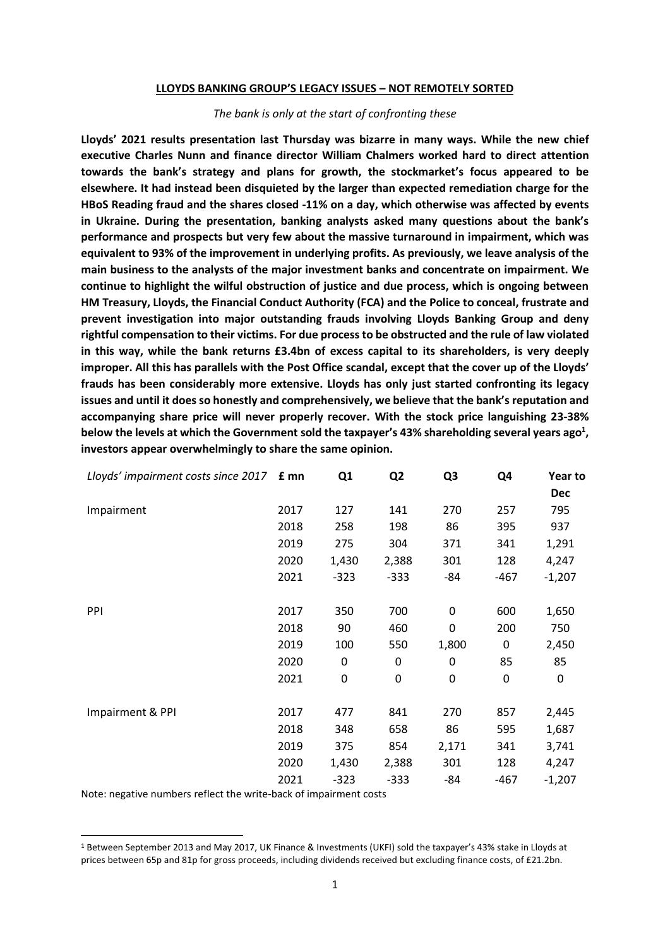#### **LLOYDS BANKING GROUP'S LEGACY ISSUES – NOT REMOTELY SORTED**

#### *The bank is only at the start of confronting these*

**Lloyds' 2021 results presentation last Thursday was bizarre in many ways. While the new chief executive Charles Nunn and finance director William Chalmers worked hard to direct attention towards the bank's strategy and plans for growth, the stockmarket's focus appeared to be elsewhere. It had instead been disquieted by the larger than expected remediation charge for the HBoS Reading fraud and the shares closed -11% on a day, which otherwise was affected by events in Ukraine. During the presentation, banking analysts asked many questions about the bank's performance and prospects but very few about the massive turnaround in impairment, which was equivalent to 93% of the improvement in underlying profits. As previously, we leave analysis of the main business to the analysts of the major investment banks and concentrate on impairment. We continue to highlight the wilful obstruction of justice and due process, which is ongoing between HM Treasury, Lloyds, the Financial Conduct Authority (FCA) and the Police to conceal, frustrate and prevent investigation into major outstanding frauds involving Lloyds Banking Group and deny rightful compensation to their victims. For due process to be obstructed and the rule of law violated in this way, while the bank returns £3.4bn of excess capital to its shareholders, is very deeply improper. All this has parallels with the Post Office scandal, except that the cover up of the Lloyds' frauds has been considerably more extensive. Lloyds has only just started confronting its legacy issues and until it does so honestly and comprehensively, we believe that the bank's reputation and accompanying share price will never properly recover. With the stock price languishing 23-38% below the levels at which the Government sold the taxpayer's 43% shareholding several years ago<sup>1</sup> , investors appear overwhelmingly to share the same opinion.**

| Lloyds' impairment costs since 2017 £ mn |      | Q1     | Q <sub>2</sub> | Q <sub>3</sub> | Q4     | Year to    |
|------------------------------------------|------|--------|----------------|----------------|--------|------------|
|                                          |      |        |                |                |        | <b>Dec</b> |
| Impairment                               | 2017 | 127    | 141            | 270            | 257    | 795        |
|                                          | 2018 | 258    | 198            | 86             | 395    | 937        |
|                                          | 2019 | 275    | 304            | 371            | 341    | 1,291      |
|                                          | 2020 | 1,430  | 2,388          | 301            | 128    | 4,247      |
|                                          | 2021 | $-323$ | $-333$         | -84            | $-467$ | $-1,207$   |
| PPI                                      | 2017 | 350    | 700            | 0              | 600    | 1,650      |
|                                          | 2018 | 90     | 460            | 0              | 200    | 750        |
|                                          | 2019 | 100    | 550            | 1,800          | 0      | 2,450      |
|                                          | 2020 | 0      | 0              | 0              | 85     | 85         |
|                                          | 2021 | 0      | 0              | $\Omega$       | 0      | 0          |
| Impairment & PPI                         | 2017 | 477    | 841            | 270            | 857    | 2,445      |
|                                          | 2018 | 348    | 658            | 86             | 595    | 1,687      |
|                                          | 2019 | 375    | 854            | 2,171          | 341    | 3,741      |
|                                          | 2020 | 1,430  | 2,388          | 301            | 128    | 4,247      |
|                                          | 2021 | $-323$ | $-333$         | -84            | $-467$ | $-1,207$   |
|                                          |      |        |                |                |        |            |

Note: negative numbers reflect the write-back of impairment costs

<sup>1</sup> Between September 2013 and May 2017, UK Finance & Investments (UKFI) sold the taxpayer's 43% stake in Lloyds at prices between 65p and 81p for gross proceeds, including dividends received but excluding finance costs, of £21.2bn.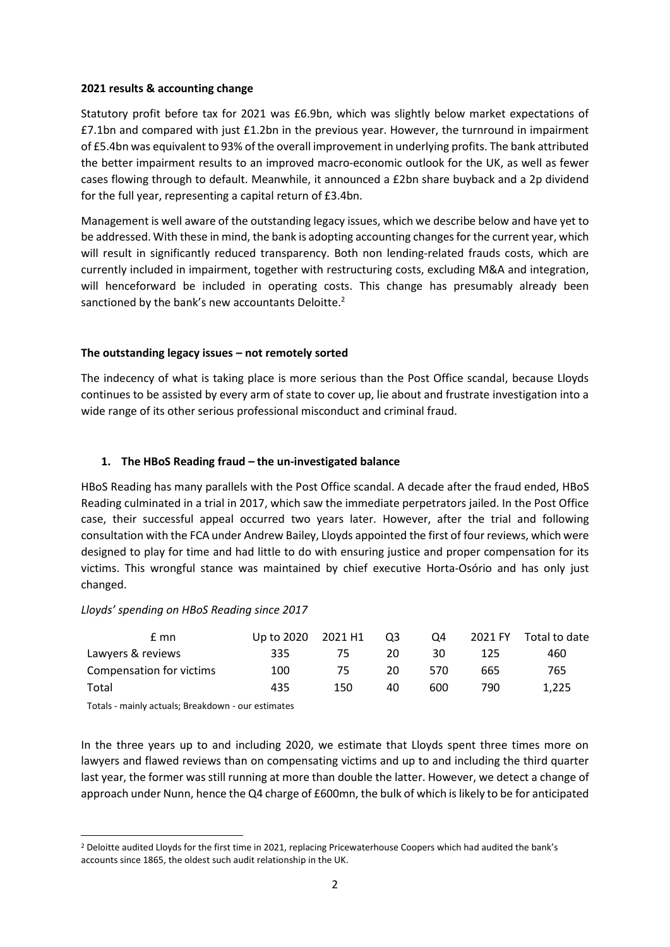#### **2021 results & accounting change**

Statutory profit before tax for 2021 was £6.9bn, which was slightly below market expectations of £7.1bn and compared with just £1.2bn in the previous year. However, the turnround in impairment of £5.4bn was equivalent to 93% of the overall improvement in underlying profits. The bank attributed the better impairment results to an improved macro-economic outlook for the UK, as well as fewer cases flowing through to default. Meanwhile, it announced a £2bn share buyback and a 2p dividend for the full year, representing a capital return of £3.4bn.

Management is well aware of the outstanding legacy issues, which we describe below and have yet to be addressed. With these in mind, the bank is adopting accounting changes for the current year, which will result in significantly reduced transparency. Both non lending-related frauds costs, which are currently included in impairment, together with restructuring costs, excluding M&A and integration, will henceforward be included in operating costs. This change has presumably already been sanctioned by the bank's new accountants Deloitte.<sup>2</sup>

## **The outstanding legacy issues – not remotely sorted**

The indecency of what is taking place is more serious than the Post Office scandal, because Lloyds continues to be assisted by every arm of state to cover up, lie about and frustrate investigation into a wide range of its other serious professional misconduct and criminal fraud.

## **1. The HBoS Reading fraud – the un-investigated balance**

HBoS Reading has many parallels with the Post Office scandal. A decade after the fraud ended, HBoS Reading culminated in a trial in 2017, which saw the immediate perpetrators jailed. In the Post Office case, their successful appeal occurred two years later. However, after the trial and following consultation with the FCA under Andrew Bailey, Lloyds appointed the first of four reviews, which were designed to play for time and had little to do with ensuring justice and proper compensation for its victims. This wrongful stance was maintained by chief executive Horta-Osório and has only just changed.

#### *Lloyds' spending on HBoS Reading since 2017*

| $E$ mn                                                                                                                                                                                                                         | Up to 2020 | 2021 H1 | Q3 | O <sub>4</sub> | 2021 FY | Total to date |
|--------------------------------------------------------------------------------------------------------------------------------------------------------------------------------------------------------------------------------|------------|---------|----|----------------|---------|---------------|
| Lawyers & reviews                                                                                                                                                                                                              | 335        | 75      | 20 | 30             | 125     | 460           |
| Compensation for victims                                                                                                                                                                                                       | 100        | 75      | 20 | 570            | 665     | 765           |
| Total                                                                                                                                                                                                                          | 435        | 150     | 40 | 600            | 790     | 1.225         |
| Text leader and the local control of the control of the control of the control of the control of the control of the control of the control of the control of the control of the control of the control of the control of the c |            |         |    |                |         |               |

Totals - mainly actuals; Breakdown - our estimates

In the three years up to and including 2020, we estimate that Lloyds spent three times more on lawyers and flawed reviews than on compensating victims and up to and including the third quarter last year, the former was still running at more than double the latter. However, we detect a change of approach under Nunn, hence the Q4 charge of £600mn, the bulk of which is likely to be for anticipated

<sup>2</sup> Deloitte audited Lloyds for the first time in 2021, replacing Pricewaterhouse Coopers which had audited the bank's accounts since 1865, the oldest such audit relationship in the UK.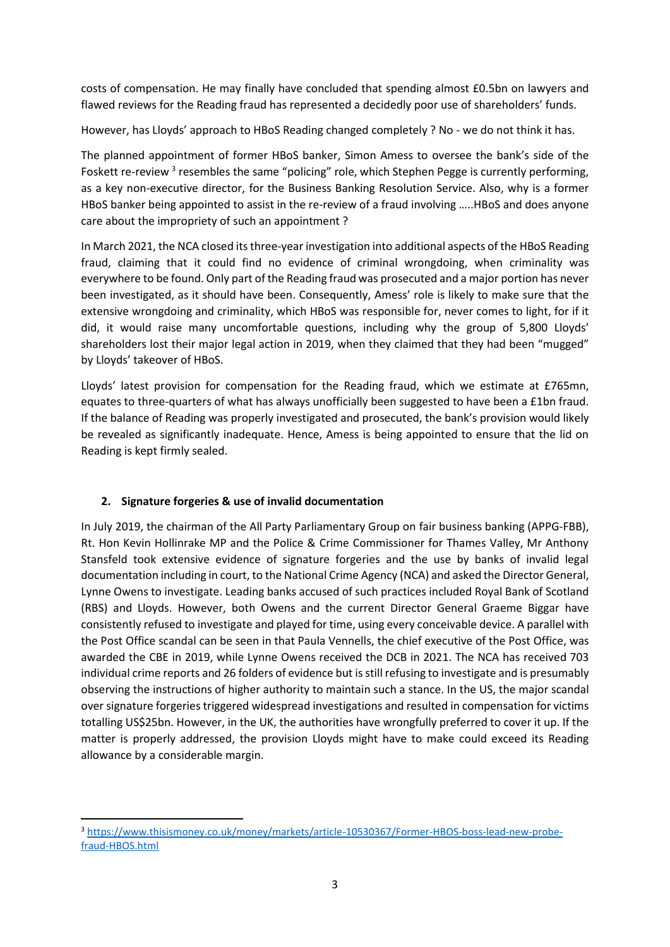costs of compensation. He may finally have concluded that spending almost £0.5bn on lawyers and flawed reviews for the Reading fraud has represented a decidedly poor use of shareholders' funds.

However, has Lloyds' approach to HBoS Reading changed completely ? No - we do not think it has.

The planned appointment of former HBoS banker, Simon Amess to oversee the bank's side of the Foskett re-review<sup>3</sup> resembles the same "policing" role, which Stephen Pegge is currently performing, as a key non-executive director, for the Business Banking Resolution Service. Also, why is a former HBoS banker being appointed to assist in the re-review of a fraud involving …..HBoS and does anyone care about the impropriety of such an appointment ?

In March 2021, the NCA closed its three-year investigation into additional aspects of the HBoS Reading fraud, claiming that it could find no evidence of criminal wrongdoing, when criminality was everywhere to be found. Only part of the Reading fraud was prosecuted and a major portion has never been investigated, as it should have been. Consequently, Amess' role is likely to make sure that the extensive wrongdoing and criminality, which HBoS was responsible for, never comes to light, for if it did, it would raise many uncomfortable questions, including why the group of 5,800 Lloyds' shareholders lost their major legal action in 2019, when they claimed that they had been "mugged" by Lloyds' takeover of HBoS.

Lloyds' latest provision for compensation for the Reading fraud, which we estimate at £765mn, equates to three-quarters of what has always unofficially been suggested to have been a £1bn fraud. If the balance of Reading was properly investigated and prosecuted, the bank's provision would likely be revealed as significantly inadequate. Hence, Amess is being appointed to ensure that the lid on Reading is kept firmly sealed.

# **2. Signature forgeries & use of invalid documentation**

In July 2019, the chairman of the All Party Parliamentary Group on fair business banking (APPG-FBB), Rt. Hon Kevin Hollinrake MP and the Police & Crime Commissioner for Thames Valley, Mr Anthony Stansfeld took extensive evidence of signature forgeries and the use by banks of invalid legal documentation including in court, to the National Crime Agency (NCA) and asked the Director General, Lynne Owens to investigate. Leading banks accused of such practices included Royal Bank of Scotland (RBS) and Lloyds. However, both Owens and the current Director General Graeme Biggar have consistently refused to investigate and played for time, using every conceivable device. A parallel with the Post Office scandal can be seen in that Paula Vennells, the chief executive of the Post Office, was awarded the CBE in 2019, while Lynne Owens received the DCB in 2021. The NCA has received 703 individual crime reports and 26 folders of evidence but is still refusing to investigate and is presumably observing the instructions of higher authority to maintain such a stance. In the US, the major scandal over signature forgeries triggered widespread investigations and resulted in compensation for victims totalling US\$25bn. However, in the UK, the authorities have wrongfully preferred to cover it up. If the matter is properly addressed, the provision Lloyds might have to make could exceed its Reading allowance by a considerable margin.

<sup>3</sup> [https://www.thisismoney.co.uk/money/markets/article-10530367/Former-HBOS-boss-lead-new-probe](https://www.thisismoney.co.uk/money/markets/article-10530367/Former-HBOS-boss-lead-new-probe-fraud-HBOS.html)[fraud-HBOS.html](https://www.thisismoney.co.uk/money/markets/article-10530367/Former-HBOS-boss-lead-new-probe-fraud-HBOS.html)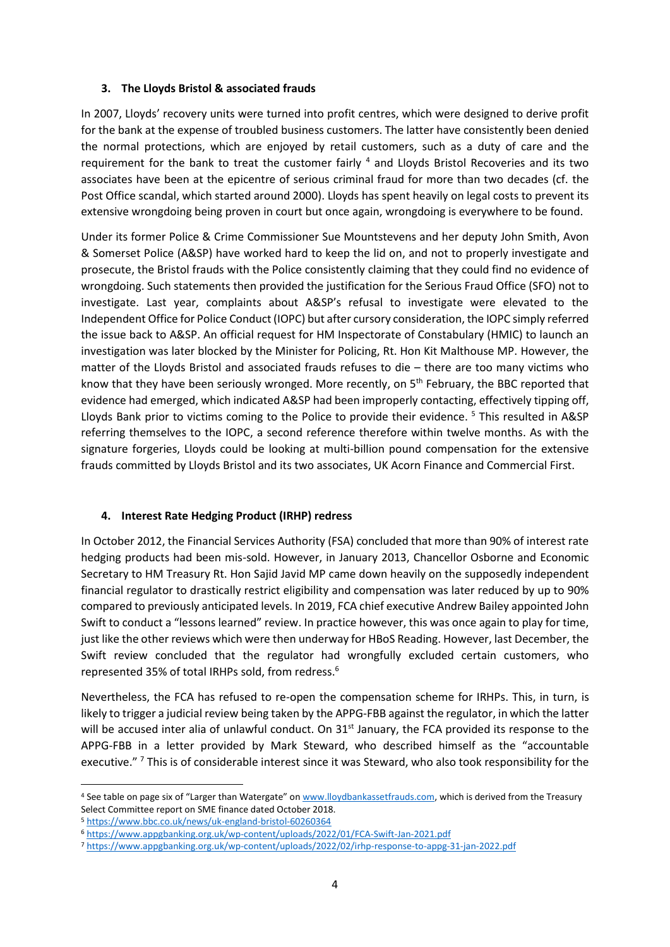## **3. The Lloyds Bristol & associated frauds**

In 2007, Lloyds' recovery units were turned into profit centres, which were designed to derive profit for the bank at the expense of troubled business customers. The latter have consistently been denied the normal protections, which are enjoyed by retail customers, such as a duty of care and the requirement for the bank to treat the customer fairly <sup>4</sup> and Lloyds Bristol Recoveries and its two associates have been at the epicentre of serious criminal fraud for more than two decades (cf. the Post Office scandal, which started around 2000). Lloyds has spent heavily on legal costs to prevent its extensive wrongdoing being proven in court but once again, wrongdoing is everywhere to be found.

Under its former Police & Crime Commissioner Sue Mountstevens and her deputy John Smith, Avon & Somerset Police (A&SP) have worked hard to keep the lid on, and not to properly investigate and prosecute, the Bristol frauds with the Police consistently claiming that they could find no evidence of wrongdoing. Such statements then provided the justification for the Serious Fraud Office (SFO) not to investigate. Last year, complaints about A&SP's refusal to investigate were elevated to the Independent Office for Police Conduct (IOPC) but after cursory consideration, the IOPC simply referred the issue back to A&SP. An official request for HM Inspectorate of Constabulary (HMIC) to launch an investigation was later blocked by the Minister for Policing, Rt. Hon Kit Malthouse MP. However, the matter of the Lloyds Bristol and associated frauds refuses to die – there are too many victims who know that they have been seriously wronged. More recently, on 5<sup>th</sup> February, the BBC reported that evidence had emerged, which indicated A&SP had been improperly contacting, effectively tipping off, Lloyds Bank prior to victims coming to the Police to provide their evidence. <sup>5</sup> This resulted in A&SP referring themselves to the IOPC, a second reference therefore within twelve months. As with the signature forgeries, Lloyds could be looking at multi-billion pound compensation for the extensive frauds committed by Lloyds Bristol and its two associates, UK Acorn Finance and Commercial First.

# **4. Interest Rate Hedging Product (IRHP) redress**

In October 2012, the Financial Services Authority (FSA) concluded that more than 90% of interest rate hedging products had been mis-sold. However, in January 2013, Chancellor Osborne and Economic Secretary to HM Treasury Rt. Hon Sajid Javid MP came down heavily on the supposedly independent financial regulator to drastically restrict eligibility and compensation was later reduced by up to 90% compared to previously anticipated levels. In 2019, FCA chief executive Andrew Bailey appointed John Swift to conduct a "lessons learned" review. In practice however, this was once again to play for time, just like the other reviews which were then underway for HBoS Reading. However, last December, the Swift review concluded that the regulator had wrongfully excluded certain customers, who represented 35% of total IRHPs sold, from redress. 6

Nevertheless, the FCA has refused to re-open the compensation scheme for IRHPs. This, in turn, is likely to trigger a judicial review being taken by the APPG-FBB against the regulator, in which the latter will be accused inter alia of unlawful conduct. On 31<sup>st</sup> January, the FCA provided its response to the APPG-FBB in a letter provided by Mark Steward, who described himself as the "accountable executive."<sup>7</sup> This is of considerable interest since it was Steward, who also took responsibility for the

<sup>4</sup> See table on page six of "Larger than Watergate" on [www.lloydbankassetfrauds.com,](http://www.lloydbankassetfrauds.com/) which is derived from the Treasury Select Committee report on SME finance dated October 2018.

<sup>5</sup> <https://www.bbc.co.uk/news/uk-england-bristol-60260364>

<sup>6</sup> <https://www.appgbanking.org.uk/wp-content/uploads/2022/01/FCA-Swift-Jan-2021.pdf>

<sup>7</sup> <https://www.appgbanking.org.uk/wp-content/uploads/2022/02/irhp-response-to-appg-31-jan-2022.pdf>